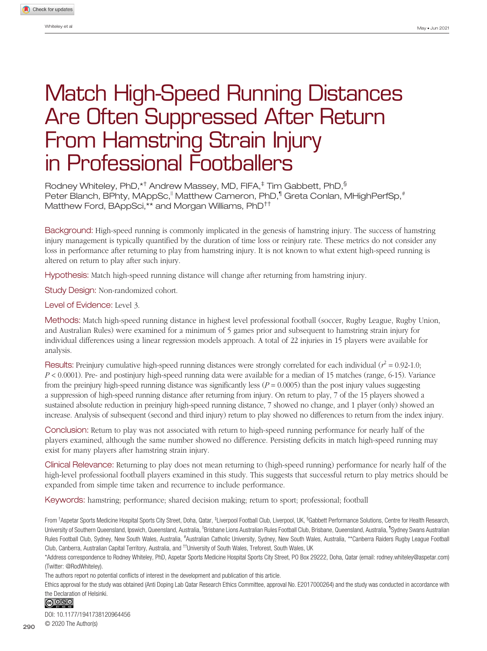9644[56](http://crossmark.crossref.org/dialog/?doi=10.1177%2F1941738120964456&domain=pdf&date_stamp=2020-11-05)SPHXXX10.1177/1941738120964456**Whiteley et al**Sports Health

# Match High-Speed Running Distances Are Often Suppressed After Return From Hamstring Strain Injury in Professional Footballers

Rodney Whiteley, PhD, $^{\star\dagger}$  Andrew Massey, MD, FIFA, $^\ddagger$  Tim Gabbett, PhD, $^\mathbb{S}$ Peter Blanch, BPhty, MAppSc," Matthew Cameron, PhD," Greta Conlan, MHighPerfSp," Matthew Ford, BAppSci,\*\* and Morgan Williams, PhD††

Background: High-speed running is commonly implicated in the genesis of hamstring injury. The success of hamstring injury management is typically quantified by the duration of time loss or reinjury rate. These metrics do not consider any loss in performance after returning to play from hamstring injury. It is not known to what extent high-speed running is altered on return to play after such injury.

Hypothesis: Match high-speed running distance will change after returning from hamstring injury.

Study Design: Non-randomized cohort.

Level of Evidence: Level 3.

Methods: Match high-speed running distance in highest level professional football (soccer, Rugby League, Rugby Union, and Australian Rules) were examined for a minimum of 5 games prior and subsequent to hamstring strain injury for individual differences using a linear regression models approach. A total of 22 injuries in 15 players were available for analysis.

Results: Preinjury cumulative high-speed running distances were strongly correlated for each individual ( $r^2$  = 0.92-1.0; *P* < 0.0001). Pre- and postinjury high-speed running data were available for a median of 15 matches (range, 6-15). Variance from the preinjury high-speed running distance was significantly less  $(P = 0.0005)$  than the post injury values suggesting a suppression of high-speed running distance after returning from injury. On return to play, 7 of the 15 players showed a sustained absolute reduction in preinjury high-speed running distance, 7 showed no change, and 1 player (only) showed an increase. Analysis of subsequent (second and third injury) return to play showed no differences to return from the index injury.

Conclusion: Return to play was not associated with return to high-speed running performance for nearly half of the players examined, although the same number showed no difference. Persisting deficits in match high-speed running may exist for many players after hamstring strain injury.

Clinical Relevance: Returning to play does not mean returning to (high-speed running) performance for nearly half of the high-level professional football players examined in this study. This suggests that successful return to play metrics should be expanded from simple time taken and recurrence to include performance.

Keywords: hamstring; performance; shared decision making; return to sport; professional; football

From †Aspetar Sports Medicine Hospital Sports City Street, Doha, Qatar, ‡Liverpool Football Club, Liverpool, UK, §Gabbett Performance Solutions, Centre for Health Research, University of Southern Queensland, Ipswich, Queensland, Australia, <sup>Ii</sup>Brisbane Lions Australian Rules Football Club, Brisbane, Queensland, Australia, <sup>1</sup>Sydney Swans Australian Rules Football Club, Sydney, New South Wales, Australia, <sup>#</sup>Australian Catholic University, Sydney, New South Wales, Australia, \*\*Canberra Raiders Rugby League Football Club, Canberra, Australian Capital Territory, Australia, and ††University of South Wales, Treforest, South Wales, UK

\*Address correspondence to Rodney Whiteley, PhD, Aspetar Sports Medicine Hospital Sports City Street, PO Box 29222, Doha, Qatar (email: rodney.whiteley@aspetar.com) (Twitter: @RodWhiteley).

The authors report no potential conflicts of interest in the development and publication of this article.

Ethics approval for the study was obtained (Anti Doping Lab Qatar Research Ethics Committee, approval No. E2017000264) and the study was conducted in accordance with the Declaration of Helsinki.

### <u>@ 000</u>

DOI: 10.1177/1941738120964456 © 2020 The Author(s)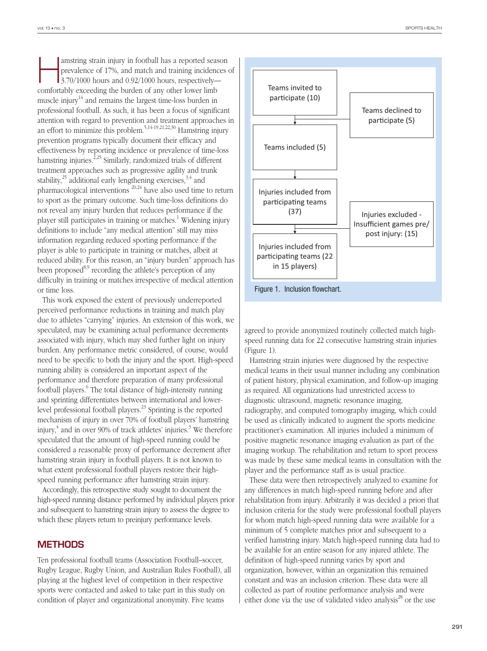amstring strain injury in football has a reported season<br>prevalence of 17%, and match and training incidences of<br>3.70/1000 hours and 0.92/1000 hours, respectively prevalence of 17%, and match and training incidences of 3.70/1000 hours and 0.92/1000 hours, respectively comfortably exceeding the burden of any other lower limb muscle injury<sup>14</sup> and remains the largest time-loss burden in professional football. As such, it has been a focus of significant attention with regard to prevention and treatment approaches in an effort to minimize this problem.<sup>5,14-19,21,22,30</sup> Hamstring injury prevention programs typically document their efficacy and effectiveness by reporting incidence or prevalence of time-loss hamstring injuries.<sup>2,25</sup> Similarly, randomized trials of different treatment approaches such as progressive agility and trunk stability, $^{25}$  additional early lengthening exercises,  $^{3,4}$  and pharmacological interventions  $^{20,24}$  have also used time to return to sport as the primary outcome. Such time-loss definitions do not reveal any injury burden that reduces performance if the player still participates in training or matches.<sup>1</sup> Widening injury definitions to include "any medical attention" still may miss information regarding reduced sporting performance if the player is able to participate in training or matches, albeit at reduced ability. For this reason, an "injury burden" approach has been proposed<sup>8,9</sup> recording the athlete's perception of any difficulty in training or matches irrespective of medical attention or time loss.

This work exposed the extent of previously underreported perceived performance reductions in training and match play due to athletes "carrying" injuries. An extension of this work, we speculated, may be examining actual performance decrements associated with injury, which may shed further light on injury burden. Any performance metric considered, of course, would need to be specific to both the injury and the sport. High-speed running ability is considered an important aspect of the performance and therefore preparation of many professional football players.<sup>6</sup> The total distance of high-intensity running and sprinting differentiates between international and lowerlevel professional football players.23 Sprinting is the reported mechanism of injury in over 70% of football players' hamstring injury,<sup>4</sup> and in over 90% of track athletes' injuries.<sup>3</sup> We therefore speculated that the amount of high-speed running could be considered a reasonable proxy of performance decrement after hamstring strain injury in football players. It is not known to what extent professional football players restore their highspeed running performance after hamstring strain injury.

Accordingly, this retrospective study sought to document the high-speed running distance performed by individual players prior and subsequent to hamstring strain injury to assess the degree to which these players return to preinjury performance levels.

#### **METHODS**

Ten professional football teams (Association Football–soccer, Rugby League, Rugby Union, and Australian Rules Football), all playing at the highest level of competition in their respective sports were contacted and asked to take part in this study on condition of player and organizational anonymity. Five teams



agreed to provide anonymized routinely collected match highspeed running data for 22 consecutive hamstring strain injuries (Figure 1).

Hamstring strain injuries were diagnosed by the respective medical teams in their usual manner including any combination of patient history, physical examination, and follow-up imaging as required. All organizations had unrestricted access to diagnostic ultrasound, magnetic resonance imaging, radiography, and computed tomography imaging, which could be used as clinically indicated to augment the sports medicine practitioner's examination. All injuries included a minimum of positive magnetic resonance imaging evaluation as part of the imaging workup. The rehabilitation and return to sport process was made by these same medical teams in consultation with the player and the performance staff as is usual practice.

These data were then retrospectively analyzed to examine for any differences in match high-speed running before and after rehabilitation from injury. Arbitrarily it was decided a priori that inclusion criteria for the study were professional football players for whom match high-speed running data were available for a minimum of 5 complete matches prior and subsequent to a verified hamstring injury. Match high-speed running data had to be available for an entire season for any injured athlete. The definition of high-speed running varies by sport and organization, however, within an organization this remained constant and was an inclusion criterion. These data were all collected as part of routine performance analysis and were either done via the use of validated video analysis<sup>28</sup> or the use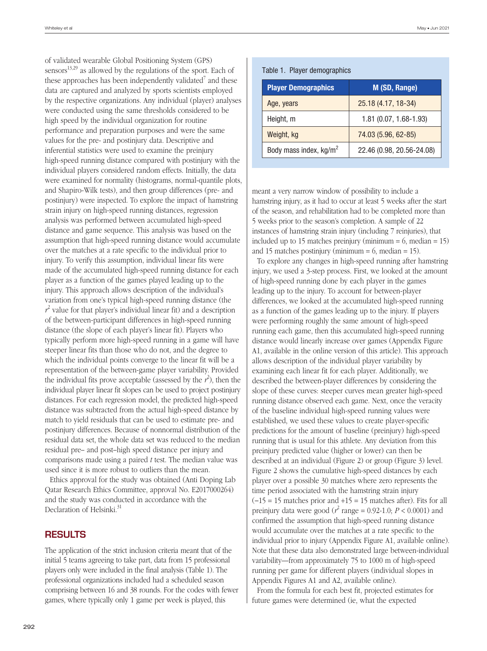of validated wearable Global Positioning System (GPS) sensors $^{13,29}$  as allowed by the regulations of the sport. Each of these approaches has been independently validated<sup>7</sup> and these data are captured and analyzed by sports scientists employed by the respective organizations. Any individual (player) analyses were conducted using the same thresholds considered to be high speed by the individual organization for routine performance and preparation purposes and were the same values for the pre- and postinjury data. Descriptive and inferential statistics were used to examine the preinjury high-speed running distance compared with postinjury with the individual players considered random effects. Initially, the data were examined for normality (histograms, normal-quantile plots, and Shapiro-Wilk tests), and then group differences (pre- and postinjury) were inspected. To explore the impact of hamstring strain injury on high-speed running distances, regression analysis was performed between accumulated high-speed distance and game sequence. This analysis was based on the assumption that high-speed running distance would accumulate over the matches at a rate specific to the individual prior to injury. To verify this assumption, individual linear fits were made of the accumulated high-speed running distance for each player as a function of the games played leading up to the injury. This approach allows description of the individual's variation from one's typical high-speed running distance (the  $r^2$  value for that player's individual linear fit) and a description of the between-participant differences in high-speed running distance (the slope of each player's linear fit). Players who typically perform more high-speed running in a game will have steeper linear fits than those who do not, and the degree to which the individual points converge to the linear fit will be a representation of the between-game player variability. Provided the individual fits prove acceptable (assessed by the  $r^2$ ), then the individual player linear fit slopes can be used to project postinjury distances. For each regression model, the predicted high-speed distance was subtracted from the actual high-speed distance by match to yield residuals that can be used to estimate pre- and postinjury differences. Because of nonnormal distribution of the residual data set, the whole data set was reduced to the median residual pre– and post–high speed distance per injury and comparisons made using a paired *t* test. The median value was used since it is more robust to outliers than the mean.

Ethics approval for the study was obtained (Anti Doping Lab Qatar Research Ethics Committee, approval No. E2017000264) and the study was conducted in accordance with the Declaration of Helsinki.<sup>31</sup>

# **RESULTS**

The application of the strict inclusion criteria meant that of the initial 5 teams agreeing to take part, data from 15 professional players only were included in the final analysis (Table 1). The professional organizations included had a scheduled season comprising between 16 and 38 rounds. For the codes with fewer games, where typically only 1 game per week is played, this

| <b>Player Demographics</b>         | M (SD, Range)             |
|------------------------------------|---------------------------|
| Age, years                         | 25.18 (4.17, 18-34)       |
| Height, m                          | 1.81 (0.07, 1.68-1.93)    |
| Weight, kg                         | 74.03 (5.96, 62-85)       |
| Body mass index, kg/m <sup>2</sup> | 22.46 (0.98, 20.56-24.08) |

meant a very narrow window of possibility to include a hamstring injury, as it had to occur at least 5 weeks after the start of the season, and rehabilitation had to be completed more than 5 weeks prior to the season's completion. A sample of 22 instances of hamstring strain injury (including 7 reinjuries), that included up to 15 matches preinjury (minimum  $= 6$ , median  $= 15$ ) and 15 matches postinjury (minimum  $= 6$ , median  $= 15$ ).

To explore any changes in high-speed running after hamstring injury, we used a 3-step process. First, we looked at the amount of high-speed running done by each player in the games leading up to the injury. To account for between-player differences, we looked at the accumulated high-speed running as a function of the games leading up to the injury. If players were performing roughly the same amount of high-speed running each game, then this accumulated high-speed running distance would linearly increase over games (Appendix Figure A1, available in the online version of this article). This approach allows description of the individual player variability by examining each linear fit for each player. Additionally, we described the between-player differences by considering the slope of these curves: steeper curves mean greater high-speed running distance observed each game. Next, once the veracity of the baseline individual high-speed running values were established, we used these values to create player-specific predictions for the amount of baseline (preinjury) high-speed running that is usual for this athlete. Any deviation from this preinjury predicted value (higher or lower) can then be described at an individual (Figure 2) or group (Figure 3) level. Figure 2 shows the cumulative high-speed distances by each player over a possible 30 matches where zero represents the time period associated with the hamstring strain injury  $(-15 = 15$  matches prior and  $+15 = 15$  matches after). Fits for all preinjury data were good ( $r^2$  range = 0.92-1.0;  $P < 0.0001$ ) and confirmed the assumption that high-speed running distance would accumulate over the matches at a rate specific to the individual prior to injury (Appendix Figure A1, available online). Note that these data also demonstrated large between-individual variability—from approximately 75 to 1000 m of high-speed running per game for different players (individual slopes in Appendix Figures A1 and A2, available online).

From the formula for each best fit, projected estimates for future games were determined (ie, what the expected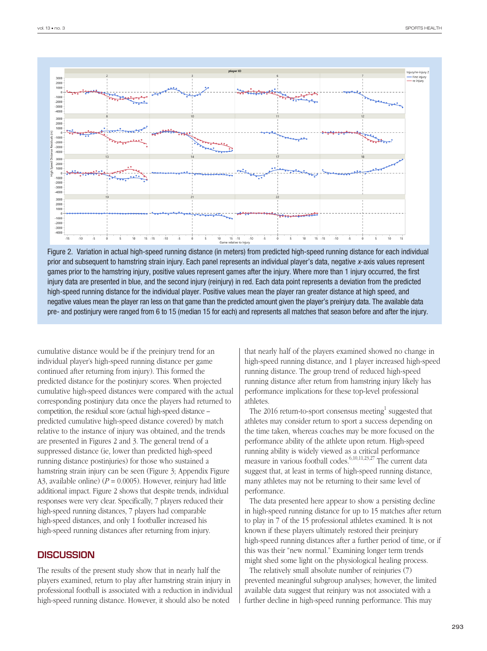

Figure 2. Variation in actual high-speed running distance (in meters) from predicted high-speed running distance for each individual prior and subsequent to hamstring strain injury. Each panel represents an individual player's data, negative *x*-axis values represent games prior to the hamstring injury, positive values represent games after the injury. Where more than 1 injury occurred, the first injury data are presented in blue, and the second injury (reinjury) in red. Each data point represents a deviation from the predicted high-speed running distance for the individual player. Positive values mean the player ran greater distance at high speed, and negative values mean the player ran less on that game than the predicted amount given the player's preinjury data. The available data pre- and postinjury were ranged from 6 to 15 (median 15 for each) and represents all matches that season before and after the injury.

cumulative distance would be if the preinjury trend for an individual player's high-speed running distance per game continued after returning from injury). This formed the predicted distance for the postinjury scores. When projected cumulative high-speed distances were compared with the actual corresponding postinjury data once the players had returned to competition, the residual score (actual high-speed distance – predicted cumulative high-speed distance covered) by match relative to the instance of injury was obtained, and the trends are presented in Figures 2 and 3. The general trend of a suppressed distance (ie, lower than predicted high-speed running distance postinjuries) for those who sustained a hamstring strain injury can be seen (Figure 3; Appendix Figure A3, available online)  $(P = 0.0005)$ . However, reinjury had little additional impact. Figure 2 shows that despite trends, individual responses were very clear. Specifically, 7 players reduced their high-speed running distances, 7 players had comparable high-speed distances, and only 1 footballer increased his high-speed running distances after returning from injury.

### **DISCUSSION**

The results of the present study show that in nearly half the players examined, return to play after hamstring strain injury in professional football is associated with a reduction in individual high-speed running distance. However, it should also be noted

that nearly half of the players examined showed no change in high-speed running distance, and 1 player increased high-speed running distance. The group trend of reduced high-speed running distance after return from hamstring injury likely has performance implications for these top-level professional athletes.

The 2016 return-to-sport consensus meeting<sup>1</sup> suggested that athletes may consider return to sport a success depending on the time taken, whereas coaches may be more focused on the performance ability of the athlete upon return. High-speed running ability is widely viewed as a critical performance measure in various football codes.6,10,11,23,27 The current data suggest that, at least in terms of high-speed running distance, many athletes may not be returning to their same level of performance.

The data presented here appear to show a persisting decline in high-speed running distance for up to 15 matches after return to play in 7 of the 15 professional athletes examined. It is not known if these players ultimately restored their preinjury high-speed running distances after a further period of time, or if this was their "new normal." Examining longer term trends might shed some light on the physiological healing process.

The relatively small absolute number of reinjuries (7) prevented meaningful subgroup analyses; however, the limited available data suggest that reinjury was not associated with a further decline in high-speed running performance. This may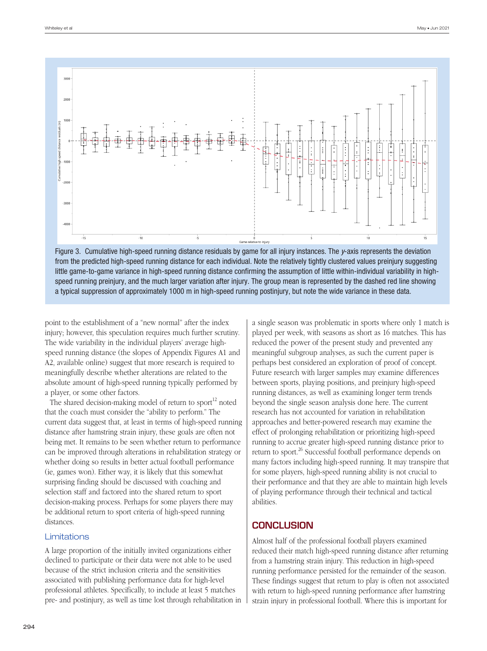

Figure 3. Cumulative high-speed running distance residuals by game for all injury instances. The *y*-axis represents the deviation from the predicted high-speed running distance for each individual. Note the relatively tightly clustered values preinjury suggesting little game-to-game variance in high-speed running distance confirming the assumption of little within-individual variability in highspeed running preinjury, and the much larger variation after injury. The group mean is represented by the dashed red line showing a typical suppression of approximately 1000 m in high-speed running postinjury, but note the wide variance in these data.

point to the establishment of a "new normal" after the index injury; however, this speculation requires much further scrutiny. The wide variability in the individual players' average highspeed running distance (the slopes of Appendix Figures A1 and A2, available online) suggest that more research is required to meaningfully describe whether alterations are related to the absolute amount of high-speed running typically performed by a player, or some other factors.

The shared decision-making model of return to sport $^{12}$  noted that the coach must consider the "ability to perform." The current data suggest that, at least in terms of high-speed running distance after hamstring strain injury, these goals are often not being met. It remains to be seen whether return to performance can be improved through alterations in rehabilitation strategy or whether doing so results in better actual football performance (ie, games won). Either way, it is likely that this somewhat surprising finding should be discussed with coaching and selection staff and factored into the shared return to sport decision-making process. Perhaps for some players there may be additional return to sport criteria of high-speed running distances.

#### Limitations

A large proportion of the initially invited organizations either declined to participate or their data were not able to be used because of the strict inclusion criteria and the sensitivities associated with publishing performance data for high-level professional athletes. Specifically, to include at least 5 matches pre- and postinjury, as well as time lost through rehabilitation in a single season was problematic in sports where only 1 match is played per week, with seasons as short as 16 matches. This has reduced the power of the present study and prevented any meaningful subgroup analyses, as such the current paper is perhaps best considered an exploration of proof of concept. Future research with larger samples may examine differences between sports, playing positions, and preinjury high-speed running distances, as well as examining longer term trends beyond the single season analysis done here. The current research has not accounted for variation in rehabilitation approaches and better-powered research may examine the effect of prolonging rehabilitation or prioritizing high-speed running to accrue greater high-speed running distance prior to return to sport.<sup>26</sup> Successful football performance depends on many factors including high-speed running. It may transpire that for some players, high-speed running ability is not crucial to their performance and that they are able to maintain high levels of playing performance through their technical and tactical abilities.

### **CONCLUSION**

Almost half of the professional football players examined reduced their match high-speed running distance after returning from a hamstring strain injury. This reduction in high-speed running performance persisted for the remainder of the season. These findings suggest that return to play is often not associated with return to high-speed running performance after hamstring strain injury in professional football. Where this is important for